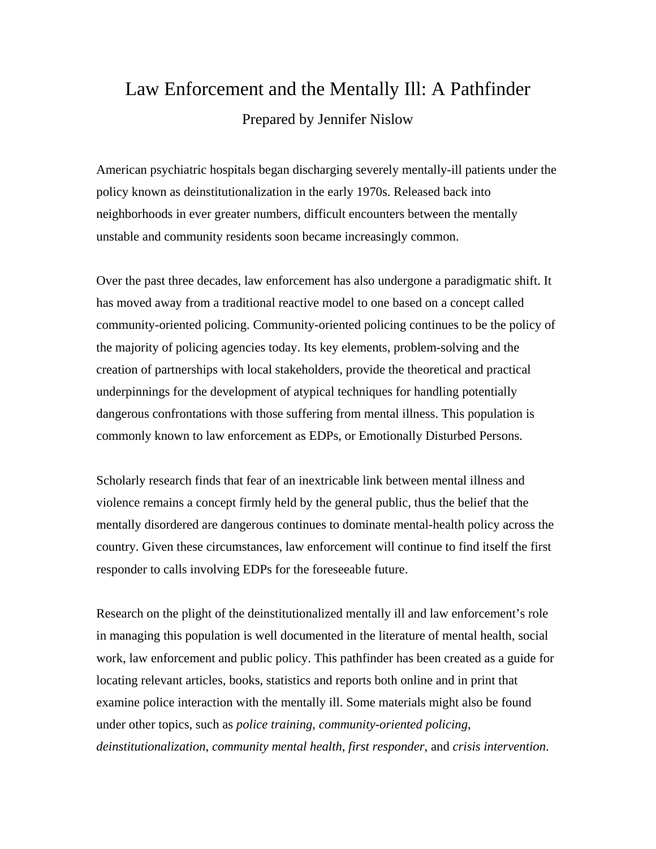# Law Enforcement and the Mentally Ill: A Pathfinder Prepared by Jennifer Nislow

American psychiatric hospitals began discharging severely mentally-ill patients under the policy known as deinstitutionalization in the early 1970s. Released back into neighborhoods in ever greater numbers, difficult encounters between the mentally unstable and community residents soon became increasingly common.

Over the past three decades, law enforcement has also undergone a paradigmatic shift. It has moved away from a traditional reactive model to one based on a concept called community-oriented policing. Community-oriented policing continues to be the policy of the majority of policing agencies today. Its key elements, problem-solving and the creation of partnerships with local stakeholders, provide the theoretical and practical underpinnings for the development of atypical techniques for handling potentially dangerous confrontations with those suffering from mental illness. This population is commonly known to law enforcement as EDPs, or Emotionally Disturbed Persons.

Scholarly research finds that fear of an inextricable link between mental illness and violence remains a concept firmly held by the general public, thus the belief that the mentally disordered are dangerous continues to dominate mental-health policy across the country. Given these circumstances, law enforcement will continue to find itself the first responder to calls involving EDPs for the foreseeable future.

Research on the plight of the deinstitutionalized mentally ill and law enforcement's role in managing this population is well documented in the literature of mental health, social work, law enforcement and public policy. This pathfinder has been created as a guide for locating relevant articles, books, statistics and reports both online and in print that examine police interaction with the mentally ill. Some materials might also be found under other topics, such as *police training*, *community-oriented policing*, *deinstitutionalization*, *community mental health*, *first responder*, and *crisis intervention*.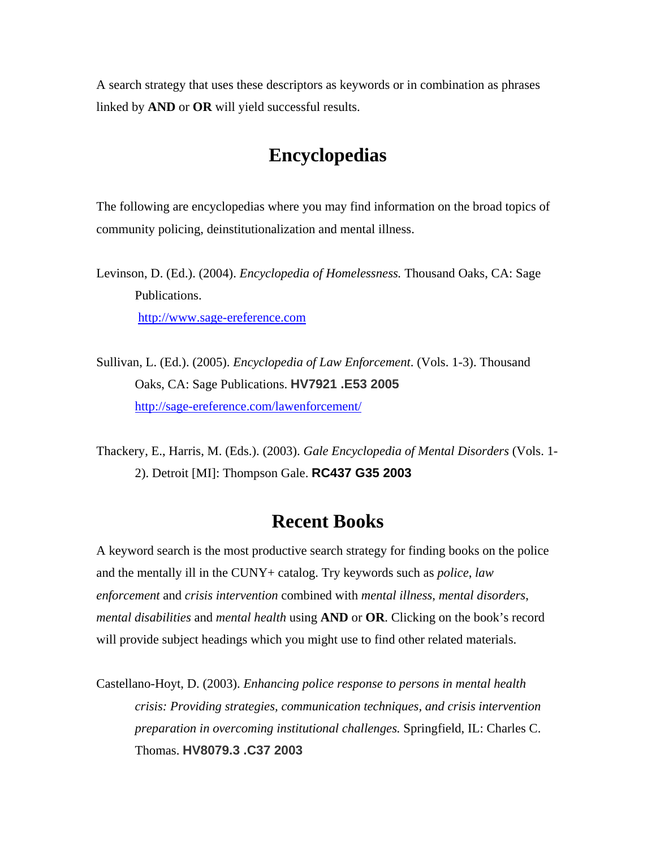A search strategy that uses these descriptors as keywords or in combination as phrases linked by **AND** or **OR** will yield successful results.

#### **Encyclopedias**

The following are encyclopedias where you may find information on the broad topics of community policing, deinstitutionalization and mental illness.

Levinson, D. (Ed.). (2004). *Encyclopedia of Homelessness.* Thousand Oaks, CA: Sage Publications. http://www.sage-ereference.com

Sullivan, L. (Ed.). (2005). *Encyclopedia of Law Enforcement*. (Vols. 1-3). Thousand Oaks, CA: Sage Publications. **HV7921 .E53 2005** http://sage-ereference.com/lawenforcement/

Thackery, E., Harris, M. (Eds.). (2003). *Gale Encyclopedia of Mental Disorders* (Vols. 1- 2). Detroit [MI]: Thompson Gale. **RC437 G35 2003**

#### **Recent Books**

A keyword search is the most productive search strategy for finding books on the police and the mentally ill in the CUNY+ catalog. Try keywords such as *police*, *law enforcement* and *crisis intervention* combined with *mental illness*, *mental disorders*, *mental disabilities* and *mental health* using **AND** or **OR**. Clicking on the book's record will provide subject headings which you might use to find other related materials.

Castellano-Hoyt, D. (2003). *Enhancing police response to persons in mental health crisis: Providing strategies, communication techniques, and crisis intervention preparation in overcoming institutional challenges.* Springfield, IL: Charles C. Thomas. **HV8079.3 .C37 2003**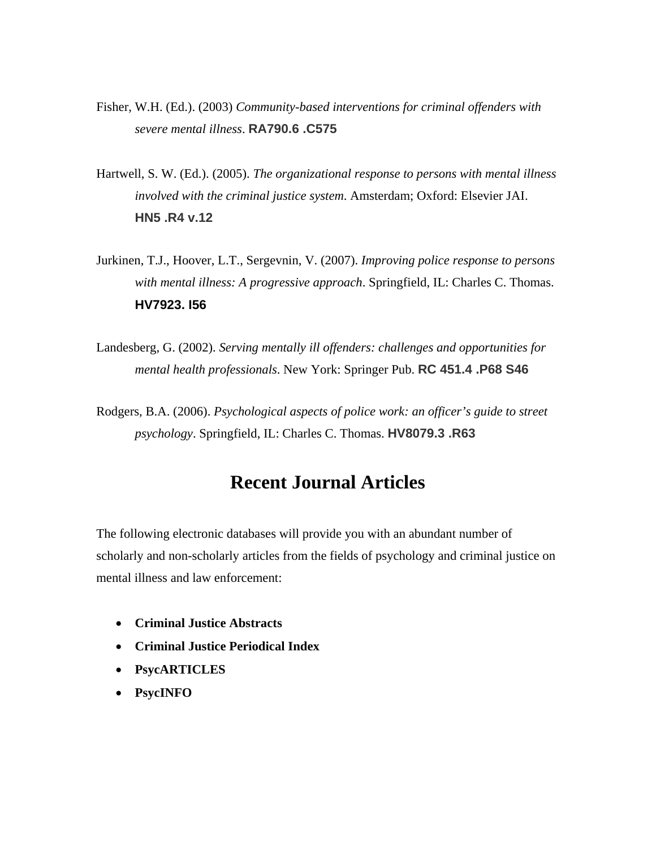- Fisher, W.H. (Ed.). (2003) *Community-based interventions for criminal offenders with severe mental illness*. **RA790.6 .C575**
- Hartwell, S. W. (Ed.). (2005). *The organizational response to persons with mental illness involved with the criminal justice system*. Amsterdam; Oxford: Elsevier JAI. **HN5 .R4 v.12**
- Jurkinen, T.J., Hoover, L.T., Sergevnin, V. (2007). *Improving police response to persons with mental illness: A progressive approach*. Springfield, IL: Charles C. Thomas. **HV7923. I56**
- Landesberg, G. (2002). *Serving mentally ill offenders: challenges and opportunities for mental health professionals*. New York: Springer Pub. **RC 451.4 .P68 S46**
- Rodgers, B.A. (2006). *Psychological aspects of police work: an officer's guide to street psychology*. Springfield, IL: Charles C. Thomas. **HV8079.3 .R63**

## **Recent Journal Articles**

The following electronic databases will provide you with an abundant number of scholarly and non-scholarly articles from the fields of psychology and criminal justice on mental illness and law enforcement:

- **Criminal Justice Abstracts**
- **Criminal Justice Periodical Index**
- **PsycARTICLES**
- **PsycINFO**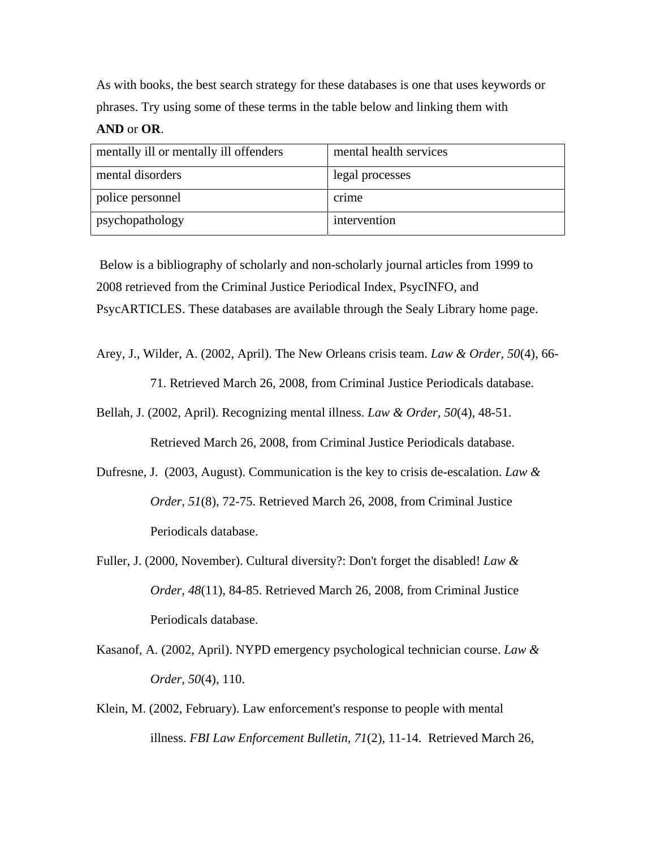As with books, the best search strategy for these databases is one that uses keywords or phrases. Try using some of these terms in the table below and linking them with

#### **AND** or **OR**.

| mentally ill or mentally ill offenders | mental health services |
|----------------------------------------|------------------------|
| mental disorders                       | legal processes        |
| police personnel                       | crime                  |
| psychopathology                        | intervention           |

 Below is a bibliography of scholarly and non-scholarly journal articles from 1999 to 2008 retrieved from the Criminal Justice Periodical Index, PsycINFO, and PsycARTICLES. These databases are available through the Sealy Library home page.

Arey, J., Wilder, A. (2002, April). The New Orleans crisis team. *Law & Order, 50*(4), 66-

71. Retrieved March 26, 2008, from Criminal Justice Periodicals database.

Bellah, J. (2002, April). Recognizing mental illness. *Law & Order, 50*(4), 48-51.

Retrieved March 26, 2008, from Criminal Justice Periodicals database.

- Dufresne, J. (2003, August). Communication is the key to crisis de-escalation. *Law & Order, 51*(8), 72-75. Retrieved March 26, 2008, from Criminal Justice Periodicals database.
- Fuller, J. (2000, November). Cultural diversity?: Don't forget the disabled! *Law & Order, 48*(11), 84-85. Retrieved March 26, 2008, from Criminal Justice Periodicals database.
- Kasanof, A. (2002, April). NYPD emergency psychological technician course. *Law & Order, 50*(4), 110.
- Klein, M. (2002, February). Law enforcement's response to people with mental illness. *FBI Law Enforcement Bulletin, 71*(2), 11-14. Retrieved March 26,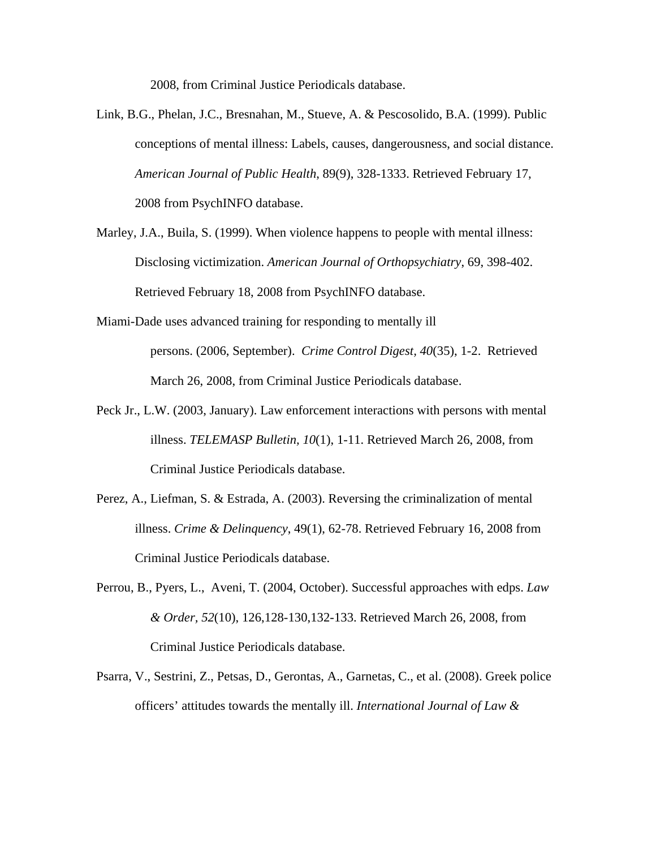2008, from Criminal Justice Periodicals database.

- Link, B.G., Phelan, J.C., Bresnahan, M., Stueve, A. & Pescosolido, B.A. (1999). Public conceptions of mental illness: Labels, causes, dangerousness, and social distance. *American Journal of Public Health*, 89(9), 328-1333. Retrieved February 17, 2008 from PsychINFO database.
- Marley, J.A., Buila, S. (1999). When violence happens to people with mental illness: Disclosing victimization. *American Journal of Orthopsychiatry*, 69, 398-402. Retrieved February 18, 2008 from PsychINFO database.
- Miami-Dade uses advanced training for responding to mentally ill persons. (2006, September). *Crime Control Digest, 40*(35), 1-2. Retrieved March 26, 2008, from Criminal Justice Periodicals database.
- Peck Jr., L.W. (2003, January). Law enforcement interactions with persons with mental illness. *TELEMASP Bulletin, 10*(1), 1-11. Retrieved March 26, 2008, from Criminal Justice Periodicals database.
- Perez, A., Liefman, S. & Estrada, A. (2003). Reversing the criminalization of mental illness. *Crime & Delinquency*, 49(1), 62-78. Retrieved February 16, 2008 from Criminal Justice Periodicals database.
- Perrou, B., Pyers, L., Aveni, T. (2004, October). Successful approaches with edps. *Law & Order, 52*(10), 126,128-130,132-133. Retrieved March 26, 2008, from Criminal Justice Periodicals database.
- Psarra, V., Sestrini, Z., Petsas, D., Gerontas, A., Garnetas, C., et al. (2008). Greek police officers' attitudes towards the mentally ill. *International Journal of Law &*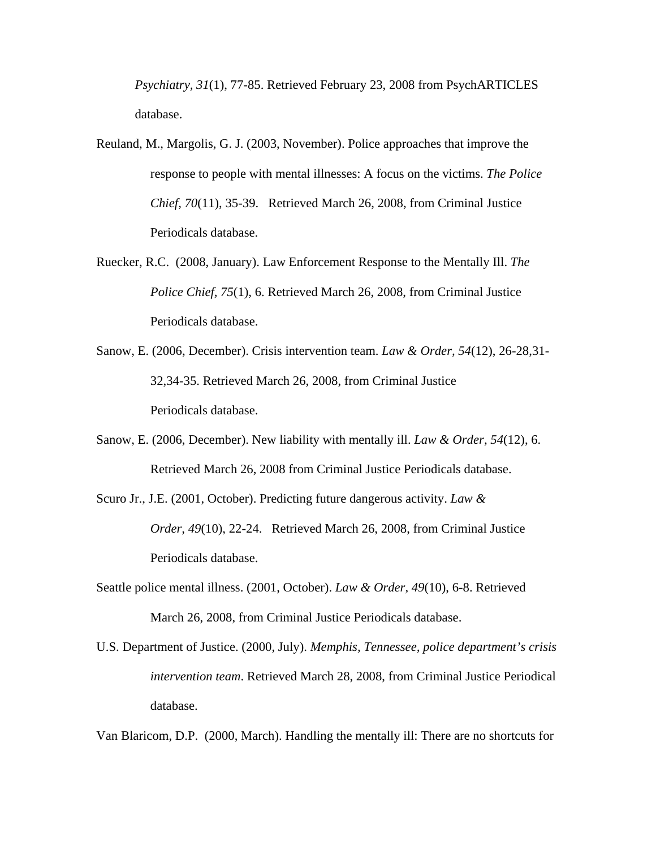*Psychiatry, 31*(1), 77-85. Retrieved February 23, 2008 from PsychARTICLES database.

- Reuland, M., Margolis, G. J. (2003, November). Police approaches that improve the response to people with mental illnesses: A focus on the victims. *The Police Chief, 70*(11), 35-39. Retrieved March 26, 2008, from Criminal Justice Periodicals database.
- Ruecker, R.C. (2008, January). Law Enforcement Response to the Mentally Ill. *The Police Chief, 75*(1), 6. Retrieved March 26, 2008, from Criminal Justice Periodicals database.
- Sanow, E. (2006, December). Crisis intervention team. *Law & Order, 54*(12), 26-28,31- 32,34-35. Retrieved March 26, 2008, from Criminal Justice Periodicals database.
- Sanow, E. (2006, December). New liability with mentally ill. *Law & Order, 54*(12), 6. Retrieved March 26, 2008 from Criminal Justice Periodicals database.
- Scuro Jr., J.E. (2001, October). Predicting future dangerous activity. *Law & Order, 49*(10), 22-24. Retrieved March 26, 2008, from Criminal Justice Periodicals database.
- Seattle police mental illness. (2001, October). *Law & Order, 49*(10), 6-8. Retrieved March 26, 2008, from Criminal Justice Periodicals database.
- U.S. Department of Justice. (2000, July). *Memphis, Tennessee, police department's crisis intervention team*. Retrieved March 28, 2008, from Criminal Justice Periodical database.

Van Blaricom, D.P. (2000, March). Handling the mentally ill: There are no shortcuts for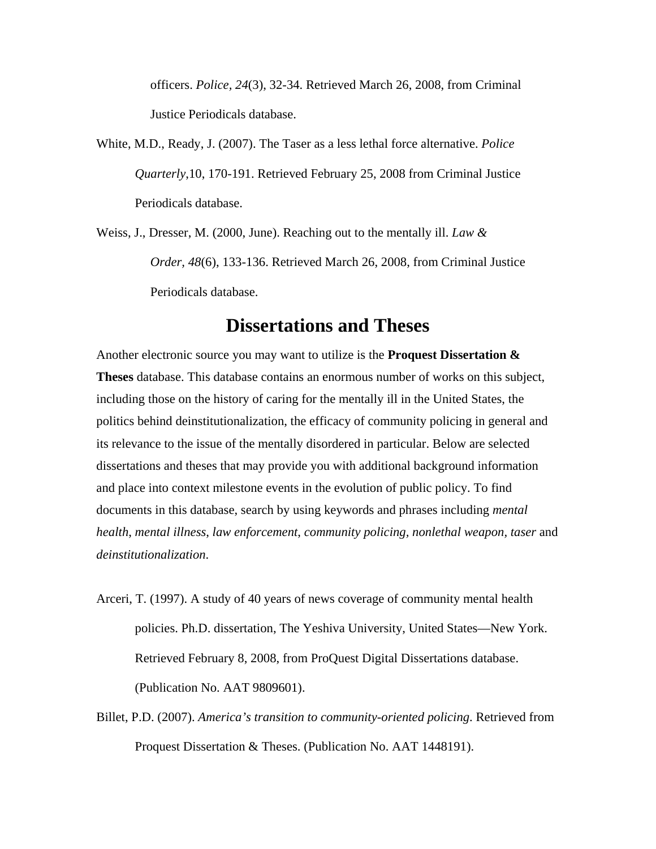officers. *Police, 24*(3), 32-34. Retrieved March 26, 2008, from Criminal Justice Periodicals database.

- White, M.D., Ready, J. (2007). The Taser as a less lethal force alternative. *Police Quarterly*,10, 170-191. Retrieved February 25, 2008 from Criminal Justice Periodicals database.
- Weiss, J., Dresser, M. (2000, June). Reaching out to the mentally ill. *Law & Order, 48*(6), 133-136. Retrieved March 26, 2008, from Criminal Justice Periodicals database.

#### **Dissertations and Theses**

Another electronic source you may want to utilize is the **Proquest Dissertation & Theses** database. This database contains an enormous number of works on this subject, including those on the history of caring for the mentally ill in the United States, the politics behind deinstitutionalization, the efficacy of community policing in general and its relevance to the issue of the mentally disordered in particular. Below are selected dissertations and theses that may provide you with additional background information and place into context milestone events in the evolution of public policy. To find documents in this database, search by using keywords and phrases including *mental health*, *mental illness*, *law enforcement*, *community policing, nonlethal weapon, taser* and *deinstitutionalization*.

- Arceri, T. (1997). A study of 40 years of news coverage of community mental health policies. Ph.D. dissertation, The Yeshiva University, United States—New York. Retrieved February 8, 2008, from ProQuest Digital Dissertations database. (Publication No. AAT 9809601).
- Billet, P.D. (2007). *America's transition to community-oriented policing*. Retrieved from Proquest Dissertation & Theses. (Publication No. AAT 1448191).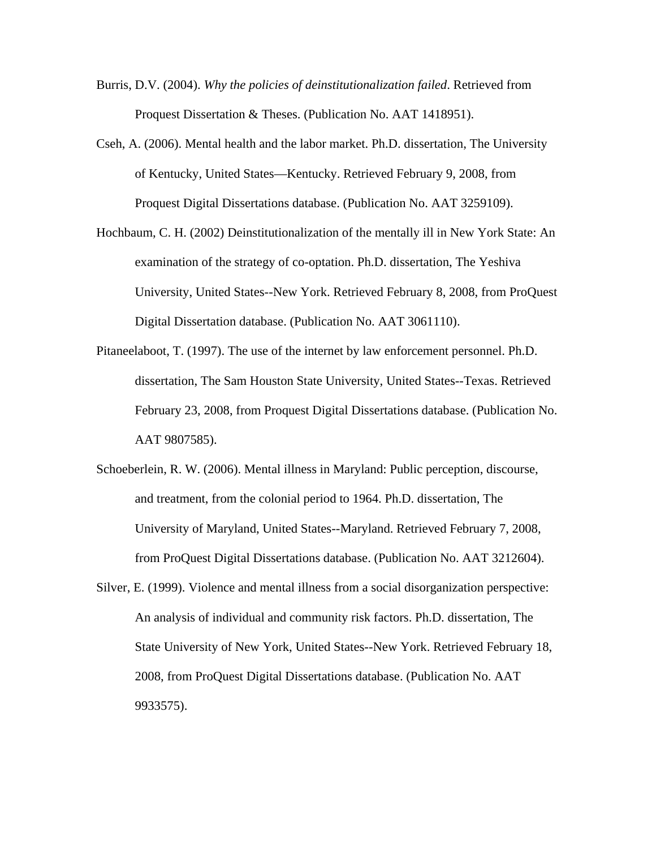- Burris, D.V. (2004). *Why the policies of deinstitutionalization failed*. Retrieved from Proquest Dissertation & Theses. (Publication No. AAT 1418951).
- Cseh, A. (2006). Mental health and the labor market. Ph.D. dissertation, The University of Kentucky, United States—Kentucky. Retrieved February 9, 2008, from Proquest Digital Dissertations database. (Publication No. AAT 3259109).
- Hochbaum, C. H. (2002) Deinstitutionalization of the mentally ill in New York State: An examination of the strategy of co-optation. Ph.D. dissertation, The Yeshiva University, United States--New York. Retrieved February 8, 2008, from ProQuest Digital Dissertation database. (Publication No. AAT 3061110).
- Pitaneelaboot, T. (1997). The use of the internet by law enforcement personnel. Ph.D. dissertation, The Sam Houston State University, United States--Texas. Retrieved February 23, 2008, from Proquest Digital Dissertations database. (Publication No. AAT 9807585).
- Schoeberlein, R. W. (2006). Mental illness in Maryland: Public perception, discourse, and treatment, from the colonial period to 1964. Ph.D. dissertation, The University of Maryland, United States--Maryland. Retrieved February 7, 2008, from ProQuest Digital Dissertations database. (Publication No. AAT 3212604).
- Silver, E. (1999). Violence and mental illness from a social disorganization perspective: An analysis of individual and community risk factors. Ph.D. dissertation, The State University of New York, United States--New York. Retrieved February 18, 2008, from ProQuest Digital Dissertations database. (Publication No. AAT 9933575).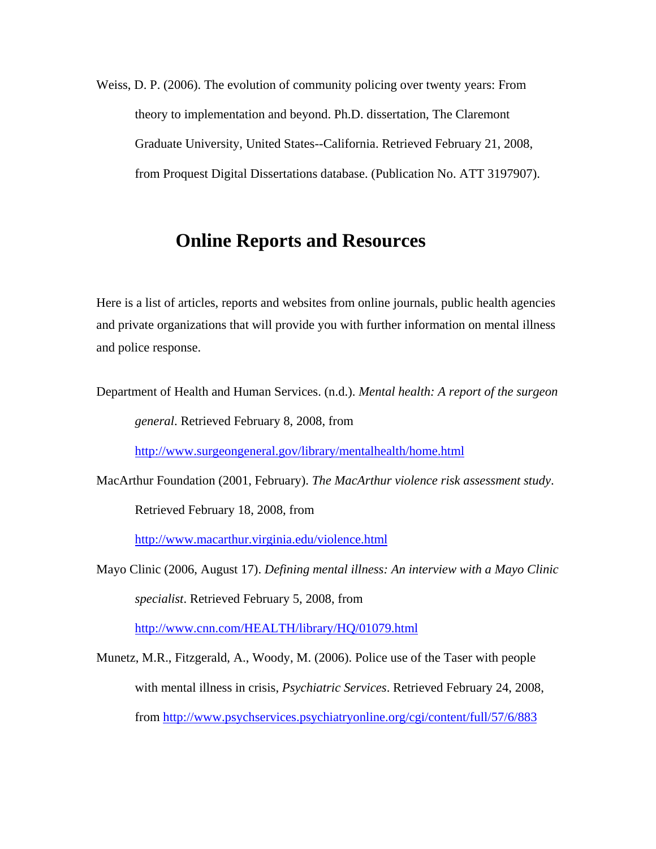Weiss, D. P. (2006). The evolution of community policing over twenty years: From theory to implementation and beyond. Ph.D. dissertation, The Claremont Graduate University, United States--California. Retrieved February 21, 2008, from Proquest Digital Dissertations database. (Publication No. ATT 3197907).

### **Online Reports and Resources**

Here is a list of articles, reports and websites from online journals, public health agencies and private organizations that will provide you with further information on mental illness and police response.

Department of Health and Human Services. (n.d.). *Mental health: A report of the surgeon general*. Retrieved February 8, 2008, from

http://www.surgeongeneral.gov/library/mentalhealth/home.html

MacArthur Foundation (2001, February). *The MacArthur violence risk assessment study*.

Retrieved February 18, 2008, from

http://www.macarthur.virginia.edu/violence.html

Mayo Clinic (2006, August 17). *Defining mental illness: An interview with a Mayo Clinic specialist*. Retrieved February 5, 2008, from

http://www.cnn.com/HEALTH/library/HQ/01079.html

Munetz, M.R., Fitzgerald, A., Woody, M. (2006). Police use of the Taser with people with mental illness in crisis, *Psychiatric Services*. Retrieved February 24, 2008, from http://www.psychservices.psychiatryonline.org/cgi/content/full/57/6/883